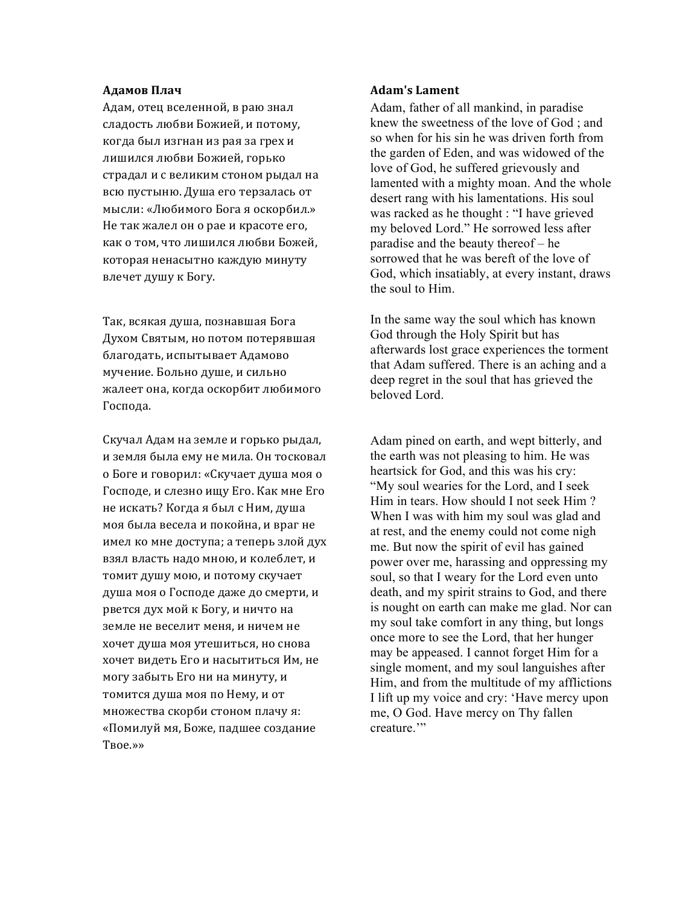## **Адамов** Плач

Адам, отец вселенной, в раю знал сладость любви Божией, и потому, когда был изгнан из рая за грех и лишился любви Божией, горько страдал и с великим стоном рыдал на всю пустыню. Душа его терзалась от мысли: «Любимого Бога я оскорбил.» Не так жалел он о рае и красоте его, как о том, что лишился любви Божей, которая ненасытно каждую минуту влечет душу к Богу.

Так, всякая душа, познавшая Бога Духом Святым, но потом потерявшая благодать, испытывает Адамово мучение. Больно душе, и сильно жалеет она, когда оскорбит любимого Господа.

Скучал Адам на земле и горько рыдал, и земля была ему не мила. Он тосковал о Боге и говорил: «Скучает душа моя о Господе, и слезно ищу Его. Как мне Его не искать? Когда я был с Ним, душа моя была весела и покойна, и враг не имел ко мне доступа; а теперь злой дух взял власть надо мною, и колеблет, и томит душу мою, и потому скучает душа моя о Господе даже до смерти, и рвется дух мой к Богу, и ничто на земле не веселит меня, и ничем не хочет душа моя утешиться, но снова хочет видеть Его и насытиться Им, не могу забыть Его ни на минуту, и томится душа моя по Нему, и от множества скорби стоном плачу я: «Помилуй мя, Боже, падшее создание Твое.»»

## **Adam's Lament**

Adam, father of all mankind, in paradise knew the sweetness of the love of God ; and so when for his sin he was driven forth from the garden of Eden, and was widowed of the love of God, he suffered grievously and lamented with a mighty moan. And the whole desert rang with his lamentations. His soul was racked as he thought : "I have grieved my beloved Lord." He sorrowed less after paradise and the beauty thereof – he sorrowed that he was bereft of the love of God, which insatiably, at every instant, draws the soul to Him.

In the same way the soul which has known God through the Holy Spirit but has afterwards lost grace experiences the torment that Adam suffered. There is an aching and a deep regret in the soul that has grieved the beloved Lord.

Adam pined on earth, and wept bitterly, and the earth was not pleasing to him. He was heartsick for God, and this was his cry: "My soul wearies for the Lord, and I seek Him in tears. How should I not seek Him ? When I was with him my soul was glad and at rest, and the enemy could not come nigh me. But now the spirit of evil has gained power over me, harassing and oppressing my soul, so that I weary for the Lord even unto death, and my spirit strains to God, and there is nought on earth can make me glad. Nor can my soul take comfort in any thing, but longs once more to see the Lord, that her hunger may be appeased. I cannot forget Him for a single moment, and my soul languishes after Him, and from the multitude of my afflictions I lift up my voice and cry: 'Have mercy upon me, O God. Have mercy on Thy fallen creature."